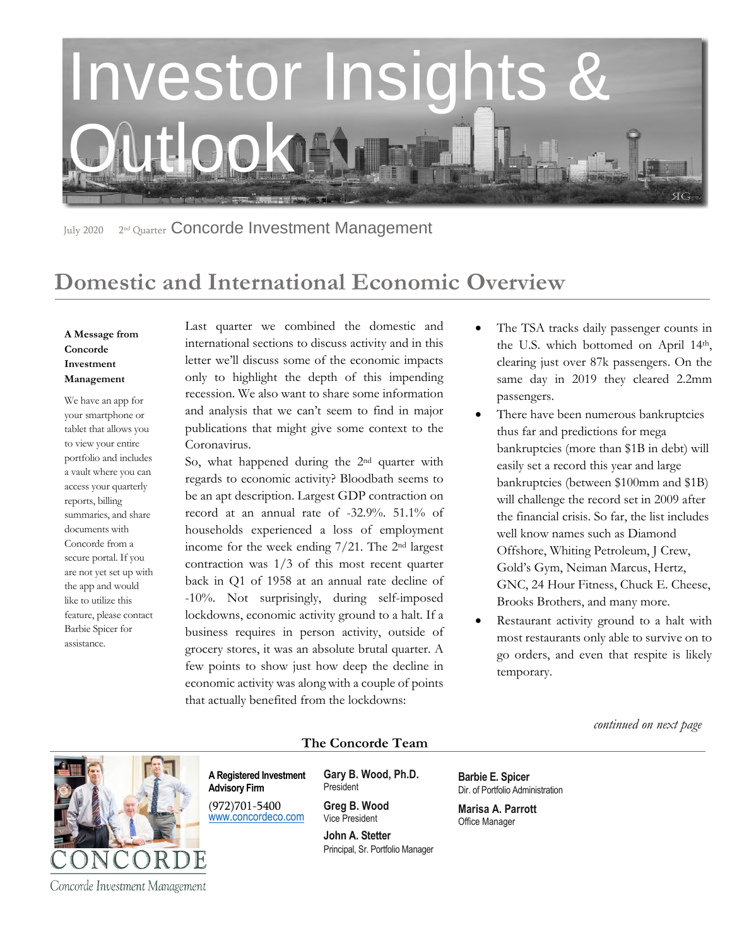

July 2020 2<sup>nd</sup> Quarter Concorde Investment Management

# **Domestic and International Economic Overview**

#### **A Message from Concorde Investment Management**

We have an app for your smartphone or tablet that allows you to view your entire portfolio and includes a vault where you can access your quarterly reports, billing summaries, and share documents with Concorde from a secure portal. If you are not yet set up with the app and would like to utilize this feature, please contact Barbie Spicer for assistance.

Last quarter we combined the domestic and international sections to discuss activity and in this letter we'll discuss some of the economic impacts only to highlight the depth of this impending recession. We also want to share some information and analysis that we can't seem to find in major publications that might give some context to the Coronavirus.

So, what happened during the 2nd quarter with regards to economic activity? Bloodbath seems to be an apt description. Largest GDP contraction on record at an annual rate of -32.9%. 51.1% of households experienced a loss of employment income for the week ending 7/21. The 2nd largest contraction was 1/3 of this most recent quarter back in Q1 of 1958 at an annual rate decline of -10%. Not surprisingly, during self-imposed lockdowns, economic activity ground to a halt. If a business requires in person activity, outside of grocery stores, it was an absolute brutal quarter. A few points to show just how deep the decline in economic activity was along with a couple of points that actually benefited from the lockdowns:

- The TSA tracks daily passenger counts in the U.S. which bottomed on April 14th, clearing just over 87k passengers. On the same day in 2019 they cleared 2.2mm passengers.
- There have been numerous bankruptcies thus far and predictions for mega bankruptcies (more than \$1B in debt) will easily set a record this year and large bankruptcies (between \$100mm and \$1B) will challenge the record set in 2009 after the financial crisis. So far, the list includes well know names such as Diamond Offshore, Whiting Petroleum, J Crew, Gold's Gym, Neiman Marcus, Hertz, GNC, 24 Hour Fitness, Chuck E. Cheese, Brooks Brothers, and many more.
- Restaurant activity ground to a halt with most restaurants only able to survive on to go orders, and even that respite is likely temporary.

 *continued on next page*



**The Concorde Team**

**A Registered Investment Advisory Firm** 

(972)701-5400 [www.concordeco.com](http://www.concordeco.com/) **Gary B. Wood, Ph.D.** President

**Greg B. Wood** Vice President

**John A. Stetter**  Principal, Sr. Portfolio Manager **Barbie E. Spicer**  Dir. of Portfolio Administration

**Marisa A. Parrott** Office Manager

Concorde Investment Management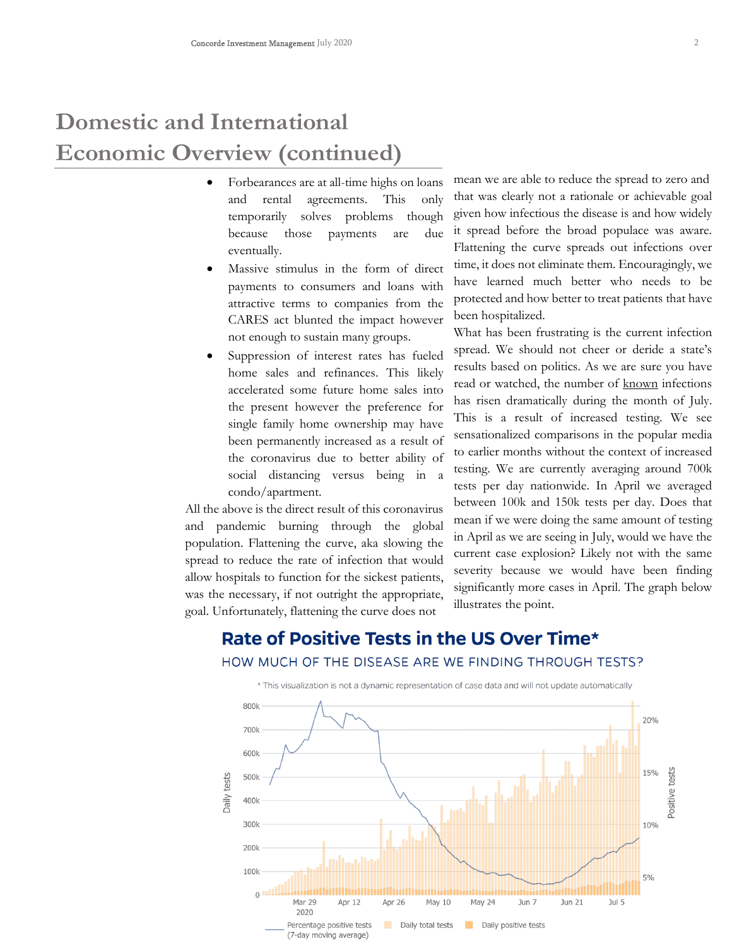# **Domestic and International Economic Overview (continued)**

- Forbearances are at all-time highs on loans and rental agreements. This only temporarily solves problems though because those payments are due eventually.
- Massive stimulus in the form of direct payments to consumers and loans with attractive terms to companies from the CARES act blunted the impact however not enough to sustain many groups.
- Suppression of interest rates has fueled home sales and refinances. This likely accelerated some future home sales into the present however the preference for single family home ownership may have been permanently increased as a result of the coronavirus due to better ability of social distancing versus being in a condo/apartment.

All the above is the direct result of this coronavirus and pandemic burning through the global population. Flattening the curve, aka slowing the spread to reduce the rate of infection that would allow hospitals to function for the sickest patients, was the necessary, if not outright the appropriate, goal. Unfortunately, flattening the curve does not

mean we are able to reduce the spread to zero and that was clearly not a rationale or achievable goal given how infectious the disease is and how widely it spread before the broad populace was aware. Flattening the curve spreads out infections over time, it does not eliminate them. Encouragingly, we have learned much better who needs to be protected and how better to treat patients that have been hospitalized.

What has been frustrating is the current infection spread. We should not cheer or deride a state's results based on politics. As we are sure you have read or watched, the number of known infections has risen dramatically during the month of July. This is a result of increased testing. We see sensationalized comparisons in the popular media to earlier months without the context of increased testing. We are currently averaging around 700k tests per day nationwide. In April we averaged between 100k and 150k tests per day. Does that mean if we were doing the same amount of testing in April as we are seeing in July, would we have the current case explosion? Likely not with the same severity because we would have been finding significantly more cases in April. The graph below illustrates the point.



### Rate of Positive Tests in the US Over Time\* HOW MUCH OF THE DISEASE ARE WE FINDING THROUGH TESTS?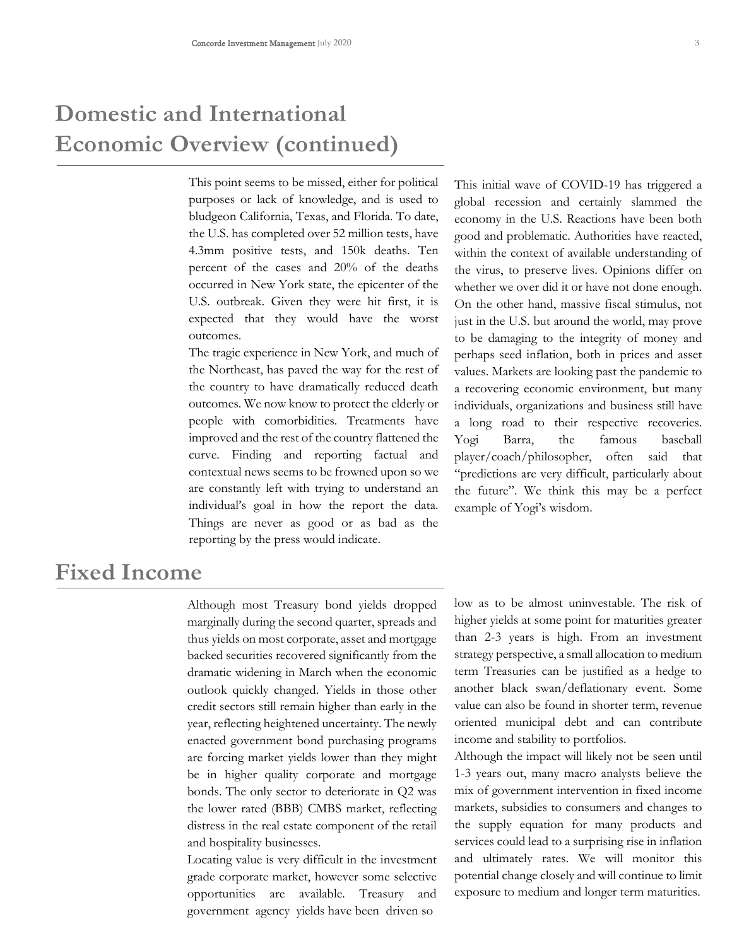# **Domestic and International Economic Overview (continued)**

This point seems to be missed, either for political purposes or lack of knowledge, and is used to bludgeon California, Texas, and Florida. To date, the U.S. has completed over 52 million tests, have 4.3mm positive tests, and 150k deaths. Ten percent of the cases and 20% of the deaths occurred in New York state, the epicenter of the U.S. outbreak. Given they were hit first, it is expected that they would have the worst outcomes.

The tragic experience in New York, and much of the Northeast, has paved the way for the rest of the country to have dramatically reduced death outcomes. We now know to protect the elderly or people with comorbidities. Treatments have improved and the rest of the country flattened the curve. Finding and reporting factual and contextual news seems to be frowned upon so we are constantly left with trying to understand an individual's goal in how the report the data. Things are never as good or as bad as the reporting by the press would indicate.

This initial wave of COVID-19 has triggered a global recession and certainly slammed the economy in the U.S. Reactions have been both good and problematic. Authorities have reacted, within the context of available understanding of the virus, to preserve lives. Opinions differ on whether we over did it or have not done enough. On the other hand, massive fiscal stimulus, not just in the U.S. but around the world, may prove to be damaging to the integrity of money and perhaps seed inflation, both in prices and asset values. Markets are looking past the pandemic to a recovering economic environment, but many individuals, organizations and business still have a long road to their respective recoveries. Yogi Barra, the famous baseball player/coach/philosopher, often said that "predictions are very difficult, particularly about the future". We think this may be a perfect example of Yogi's wisdom.

### **Fixed Income**

Although most Treasury bond yields dropped marginally during the second quarter, spreads and thus yields on most corporate, asset and mortgage backed securities recovered significantly from the dramatic widening in March when the economic outlook quickly changed. Yields in those other credit sectors still remain higher than early in the year, reflecting heightened uncertainty. The newly enacted government bond purchasing programs are forcing market yields lower than they might be in higher quality corporate and mortgage bonds. The only sector to deteriorate in Q2 was the lower rated (BBB) CMBS market, reflecting distress in the real estate component of the retail and hospitality businesses.

Locating value is very difficult in the investment grade corporate market, however some selective opportunities are available. Treasury and government agency yields have been driven so

low as to be almost uninvestable. The risk of higher yields at some point for maturities greater than 2-3 years is high. From an investment strategy perspective, a small allocation to medium term Treasuries can be justified as a hedge to another black swan/deflationary event. Some value can also be found in shorter term, revenue oriented municipal debt and can contribute income and stability to portfolios.

Although the impact will likely not be seen until 1-3 years out, many macro analysts believe the mix of government intervention in fixed income markets, subsidies to consumers and changes to the supply equation for many products and services could lead to a surprising rise in inflation and ultimately rates. We will monitor this potential change closely and will continue to limit exposure to medium and longer term maturities.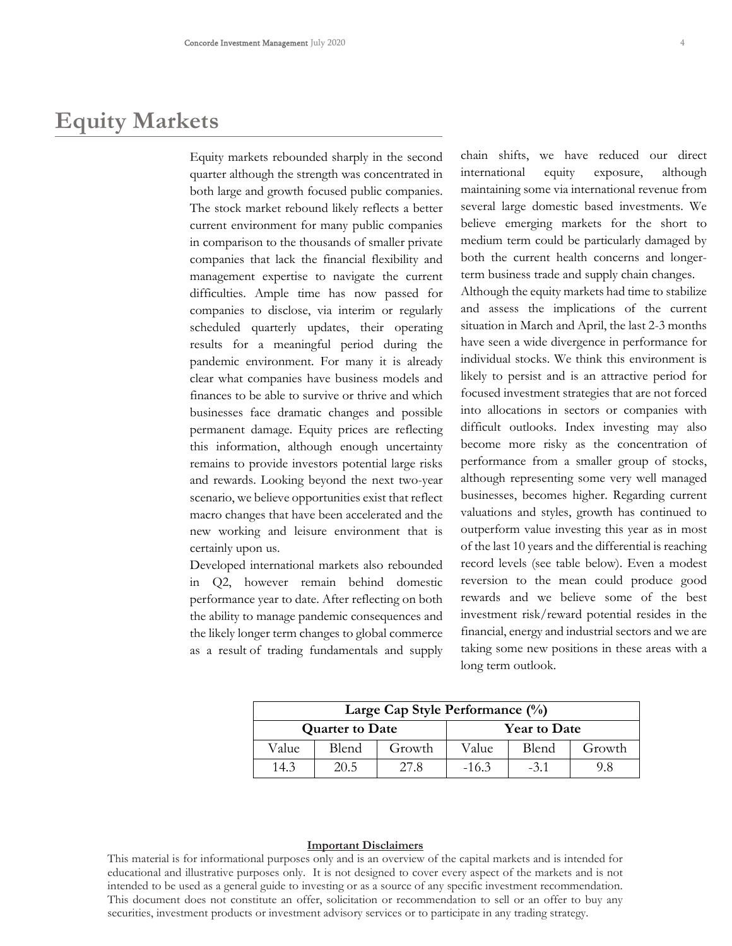### **Equity Markets**

Equity markets rebounded sharply in the second quarter although the strength was concentrated in both large and growth focused public companies. The stock market rebound likely reflects a better current environment for many public companies in comparison to the thousands of smaller private companies that lack the financial flexibility and management expertise to navigate the current difficulties. Ample time has now passed for companies to disclose, via interim or regularly scheduled quarterly updates, their operating results for a meaningful period during the pandemic environment. For many it is already clear what companies have business models and finances to be able to survive or thrive and which businesses face dramatic changes and possible permanent damage. Equity prices are reflecting this information, although enough uncertainty remains to provide investors potential large risks and rewards. Looking beyond the next two-year scenario, we believe opportunities exist that reflect macro changes that have been accelerated and the new working and leisure environment that is certainly upon us.

Developed international markets also rebounded in Q2, however remain behind domestic performance year to date. After reflecting on both the ability to manage pandemic consequences and the likely longer term changes to global commerce as a result of trading fundamentals and supply chain shifts, we have reduced our direct international equity exposure, although maintaining some via international revenue from several large domestic based investments. We believe emerging markets for the short to medium term could be particularly damaged by both the current health concerns and longerterm business trade and supply chain changes.

Although the equity markets had time to stabilize and assess the implications of the current situation in March and April, the last 2-3 months have seen a wide divergence in performance for individual stocks. We think this environment is likely to persist and is an attractive period for focused investment strategies that are not forced into allocations in sectors or companies with difficult outlooks. Index investing may also become more risky as the concentration of performance from a smaller group of stocks, although representing some very well managed businesses, becomes higher. Regarding current valuations and styles, growth has continued to outperform value investing this year as in most of the last 10 years and the differential is reaching record levels (see table below). Even a modest reversion to the mean could produce good rewards and we believe some of the best investment risk/reward potential resides in the financial, energy and industrial sectors and we are taking some new positions in these areas with a long term outlook.

| Large Cap Style Performance $(\%)$ |       |        |                     |       |        |
|------------------------------------|-------|--------|---------------------|-------|--------|
| <b>Quarter to Date</b>             |       |        | <b>Year to Date</b> |       |        |
| Value                              | Blend | Growth | Value               | Blend | Growth |
| 14.3                               | 20.5  | 27.8   | $-16.3$             | $-31$ | 9.8    |

#### **Important Disclaimers**

This material is for informational purposes only and is an overview of the capital markets and is intended for educational and illustrative purposes only. It is not designed to cover every aspect of the markets and is not intended to be used as a general guide to investing or as a source of any specific investment recommendation. This document does not constitute an offer, solicitation or recommendation to sell or an offer to buy any securities, investment products or investment advisory services or to participate in any trading strategy.